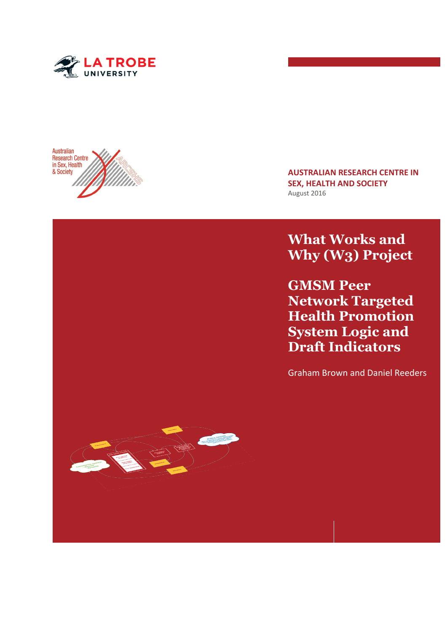



**AUSTRALIAN RESEARCH CENTRE IN SEX, HEALTH AND SOCIETY** August 2016

**What Works and Why (W3) Project**

**GMSM Peer Network Targeted Health Promotion System Logic and Draft Indicators**

Graham Brown and Daniel Reeders

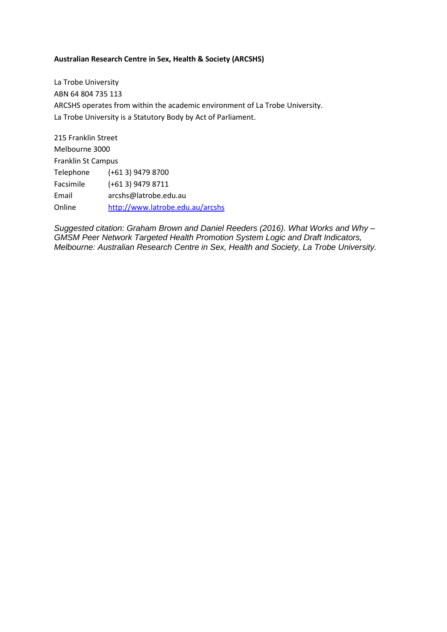#### **Australian Research Centre in Sex, Health & Society (ARCSHS)**

La Trobe University ABN 64 804 735 113 ARCSHS operates from within the academic environment of La Trobe University. La Trobe University is a Statutory Body by Act of Parliament.

215 Franklin Street Melbourne 3000 Franklin St Campus Telephone (+61 3) 9479 8700 Facsimile (+61 3) 9479 8711 Email arcshs@latrobe.edu.au Online <http://www.latrobe.edu.au/arcshs>

*Suggested citation: Graham Brown and Daniel Reeders (2016). What Works and Why – GMSM Peer Network Targeted Health Promotion System Logic and Draft Indicators, Melbourne: Australian Research Centre in Sex, Health and Society, La Trobe University.*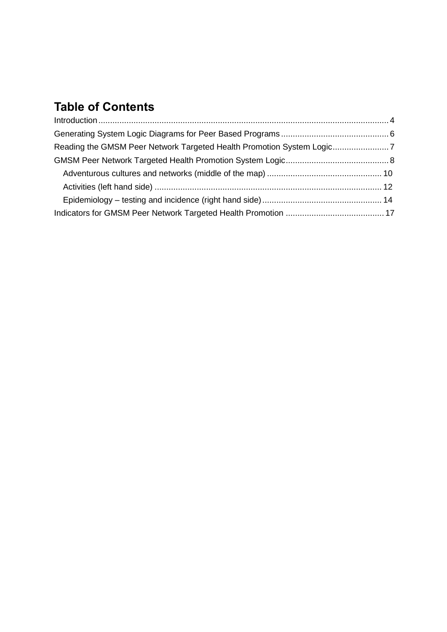# **Table of Contents**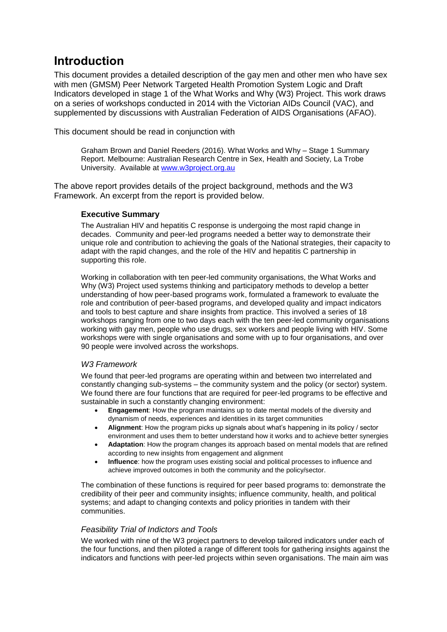# <span id="page-3-0"></span>**Introduction**

This document provides a detailed description of the gay men and other men who have sex with men (GMSM) Peer Network Targeted Health Promotion System Logic and Draft Indicators developed in stage 1 of the What Works and Why (W3) Project. This work draws on a series of workshops conducted in 2014 with the Victorian AIDs Council (VAC), and supplemented by discussions with Australian Federation of AIDS Organisations (AFAO).

This document should be read in conjunction with

Graham Brown and Daniel Reeders (2016). What Works and Why – Stage 1 Summary Report. Melbourne: Australian Research Centre in Sex, Health and Society, La Trobe University. Available at [www.w3project.org.au](http://www.w3project.org.au/)

The above report provides details of the project background, methods and the W3 Framework. An excerpt from the report is provided below.

#### **Executive Summary**

The Australian HIV and hepatitis C response is undergoing the most rapid change in decades. Community and peer-led programs needed a better way to demonstrate their unique role and contribution to achieving the goals of the National strategies, their capacity to adapt with the rapid changes, and the role of the HIV and hepatitis C partnership in supporting this role.

Working in collaboration with ten peer-led community organisations, the What Works and Why (W3) Project used systems thinking and participatory methods to develop a better understanding of how peer-based programs work, formulated a framework to evaluate the role and contribution of peer-based programs, and developed quality and impact indicators and tools to best capture and share insights from practice. This involved a series of 18 workshops ranging from one to two days each with the ten peer-led community organisations working with gay men, people who use drugs, sex workers and people living with HIV. Some workshops were with single organisations and some with up to four organisations, and over 90 people were involved across the workshops.

#### *W3 Framework*

We found that peer-led programs are operating within and between two interrelated and constantly changing sub-systems – the community system and the policy (or sector) system. We found there are four functions that are required for peer-led programs to be effective and sustainable in such a constantly changing environment:

- **Engagement**: How the program maintains up to date mental models of the diversity and dynamism of needs, experiences and identities in its target communities
- **Alignment**: How the program picks up signals about what's happening in its policy / sector environment and uses them to better understand how it works and to achieve better synergies
- **Adaptation**: How the program changes its approach based on mental models that are refined according to new insights from engagement and alignment
- **Influence**: how the program uses existing social and political processes to influence and achieve improved outcomes in both the community and the policy/sector.

The combination of these functions is required for peer based programs to: demonstrate the credibility of their peer and community insights; influence community, health, and political systems; and adapt to changing contexts and policy priorities in tandem with their communities.

#### *Feasibility Trial of Indictors and Tools*

We worked with nine of the W3 project partners to develop tailored indicators under each of the four functions, and then piloted a range of different tools for gathering insights against the indicators and functions with peer-led projects within seven organisations. The main aim was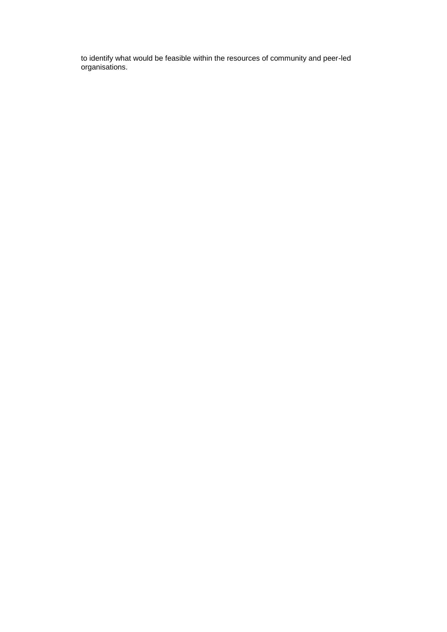to identify what would be feasible within the resources of community and peer-led organisations.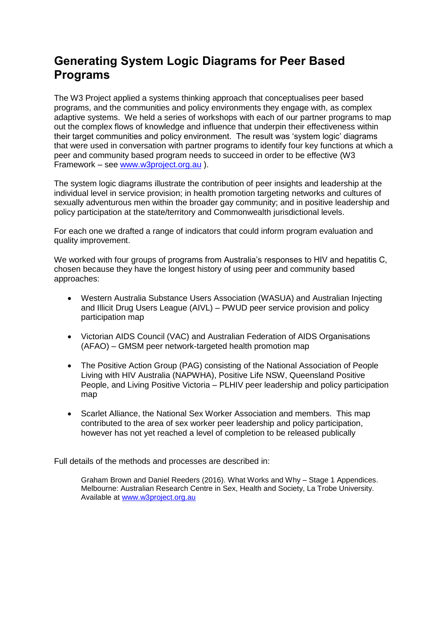# <span id="page-5-0"></span>**Generating System Logic Diagrams for Peer Based Programs**

The W3 Project applied a systems thinking approach that conceptualises peer based programs, and the communities and policy environments they engage with, as complex adaptive systems. We held a series of workshops with each of our partner programs to map out the complex flows of knowledge and influence that underpin their effectiveness within their target communities and policy environment. The result was 'system logic' diagrams that were used in conversation with partner programs to identify four key functions at which a peer and community based program needs to succeed in order to be effective (W3 Framework – see [www.w3project.org.au](http://www.w3project.org.au/) ).

The system logic diagrams illustrate the contribution of peer insights and leadership at the individual level in service provision; in health promotion targeting networks and cultures of sexually adventurous men within the broader gay community; and in positive leadership and policy participation at the state/territory and Commonwealth jurisdictional levels.

For each one we drafted a range of indicators that could inform program evaluation and quality improvement.

We worked with four groups of programs from Australia's responses to HIV and hepatitis C. chosen because they have the longest history of using peer and community based approaches:

- Western Australia Substance Users Association (WASUA) and Australian Injecting and Illicit Drug Users League (AIVL) – PWUD peer service provision and policy participation map
- Victorian AIDS Council (VAC) and Australian Federation of AIDS Organisations (AFAO) – GMSM peer network-targeted health promotion map
- The Positive Action Group (PAG) consisting of the National Association of People Living with HIV Australia (NAPWHA), Positive Life NSW, Queensland Positive People, and Living Positive Victoria – PLHIV peer leadership and policy participation map
- Scarlet Alliance, the National Sex Worker Association and members. This map contributed to the area of sex worker peer leadership and policy participation, however has not yet reached a level of completion to be released publically

Full details of the methods and processes are described in:

Graham Brown and Daniel Reeders (2016). What Works and Why – Stage 1 Appendices. Melbourne: Australian Research Centre in Sex, Health and Society, La Trobe University. Available at [www.w3project.org.au](http://www.w3project.org.au/)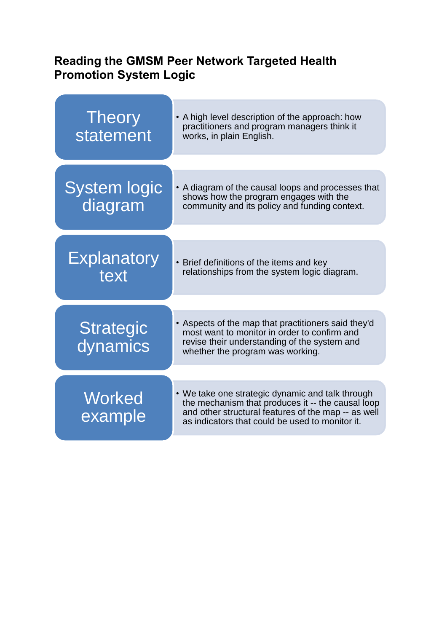# <span id="page-6-0"></span>**Reading the GMSM Peer Network Targeted Health Promotion System Logic**

| <b>Theory</b><br>statement     | • A high level description of the approach: how<br>practitioners and program managers think it<br>works, in plain English.                                                                                      |  |
|--------------------------------|-----------------------------------------------------------------------------------------------------------------------------------------------------------------------------------------------------------------|--|
|                                |                                                                                                                                                                                                                 |  |
| <b>System logic</b><br>diagram | • A diagram of the causal loops and processes that<br>shows how the program engages with the<br>community and its policy and funding context.                                                                   |  |
|                                |                                                                                                                                                                                                                 |  |
| <b>Explanatory</b><br>text     | • Brief definitions of the items and key<br>relationships from the system logic diagram.                                                                                                                        |  |
|                                |                                                                                                                                                                                                                 |  |
| <b>Strategic</b><br>dynamics   | • Aspects of the map that practitioners said they'd<br>most want to monitor in order to confirm and<br>revise their understanding of the system and<br>whether the program was working.                         |  |
|                                |                                                                                                                                                                                                                 |  |
| <b>Worked</b><br>example       | • We take one strategic dynamic and talk through<br>the mechanism that produces it -- the causal loop<br>and other structural features of the map -- as well<br>as indicators that could be used to monitor it. |  |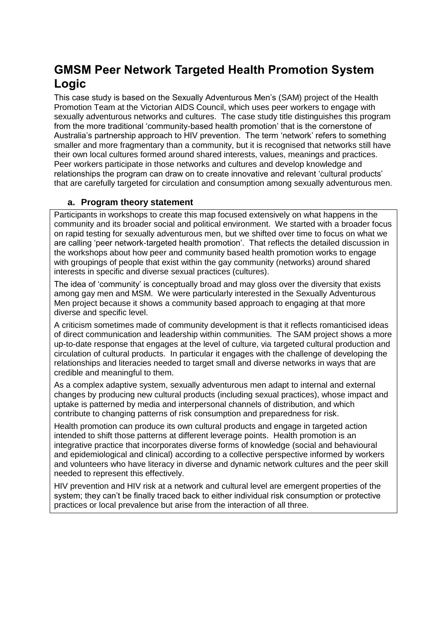# <span id="page-7-0"></span>**GMSM Peer Network Targeted Health Promotion System Logic**

This case study is based on the Sexually Adventurous Men's (SAM) project of the Health Promotion Team at the Victorian AIDS Council, which uses peer workers to engage with sexually adventurous networks and cultures. The case study title distinguishes this program from the more traditional 'community-based health promotion' that is the cornerstone of Australia's partnership approach to HIV prevention. The term 'network' refers to something smaller and more fragmentary than a community, but it is recognised that networks still have their own local cultures formed around shared interests, values, meanings and practices. Peer workers participate in those networks and cultures and develop knowledge and relationships the program can draw on to create innovative and relevant 'cultural products' that are carefully targeted for circulation and consumption among sexually adventurous men.

#### **a. Program theory statement**

Participants in workshops to create this map focused extensively on what happens in the community and its broader social and political environment. We started with a broader focus on rapid testing for sexually adventurous men, but we shifted over time to focus on what we are calling 'peer network-targeted health promotion'. That reflects the detailed discussion in the workshops about how peer and community based health promotion works to engage with groupings of people that exist within the gay community (networks) around shared interests in specific and diverse sexual practices (cultures).

The idea of 'community' is conceptually broad and may gloss over the diversity that exists among gay men and MSM. We were particularly interested in the Sexually Adventurous Men project because it shows a community based approach to engaging at that more diverse and specific level.

A criticism sometimes made of community development is that it reflects romanticised ideas of direct communication and leadership within communities. The SAM project shows a more up-to-date response that engages at the level of culture, via targeted cultural production and circulation of cultural products. In particular it engages with the challenge of developing the relationships and literacies needed to target small and diverse networks in ways that are credible and meaningful to them.

As a complex adaptive system, sexually adventurous men adapt to internal and external changes by producing new cultural products (including sexual practices), whose impact and uptake is patterned by media and interpersonal channels of distribution, and which contribute to changing patterns of risk consumption and preparedness for risk.

Health promotion can produce its own cultural products and engage in targeted action intended to shift those patterns at different leverage points. Health promotion is an integrative practice that incorporates diverse forms of knowledge (social and behavioural and epidemiological and clinical) according to a collective perspective informed by workers and volunteers who have literacy in diverse and dynamic network cultures and the peer skill needed to represent this effectively.

HIV prevention and HIV risk at a network and cultural level are emergent properties of the system; they can't be finally traced back to either individual risk consumption or protective practices or local prevalence but arise from the interaction of all three.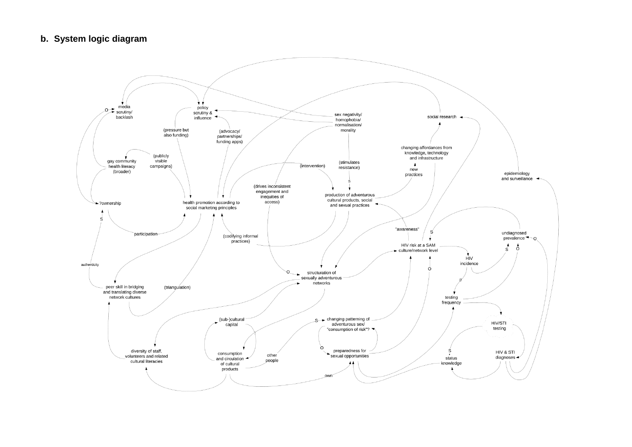#### **b. System logic diagram**

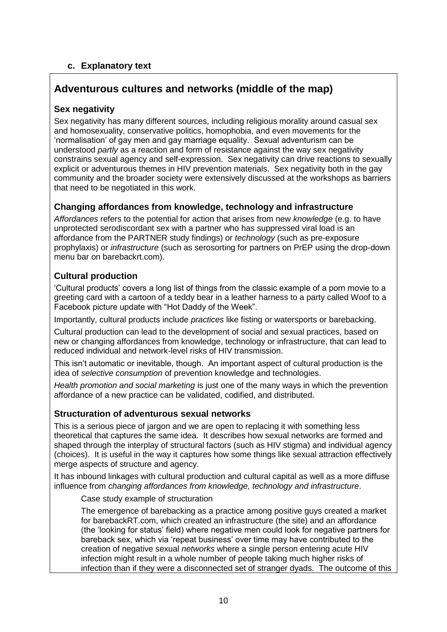### **c. Explanatory text**

## <span id="page-9-0"></span>**Adventurous cultures and networks (middle of the map)**

#### **Sex negativity**

Sex negativity has many different sources, including religious morality around casual sex and homosexuality, conservative politics, homophobia, and even movements for the 'normalisation' of gay men and gay marriage equality. Sexual adventurism can be understood *partly* as a reaction and form of resistance against the way sex negativity constrains sexual agency and self-expression. Sex negativity can drive reactions to sexually explicit or adventurous themes in HIV prevention materials. Sex negativity both in the gay community and the broader society were extensively discussed at the workshops as barriers that need to be negotiated in this work.

#### **Changing affordances from knowledge, technology and infrastructure**

*Affordances* refers to the potential for action that arises from new *knowledge* (e.g. to have unprotected serodiscordant sex with a partner who has suppressed viral load is an affordance from the PARTNER study findings) or *technology* (such as pre-exposure prophylaxis) or *infrastructure* (such as serosorting for partners on PrEP using the drop-down menu bar on barebackrt.com).

#### **Cultural production**

'Cultural products' covers a long list of things from the classic example of a porn movie to a greeting card with a cartoon of a teddy bear in a leather harness to a party called Woof to a Facebook picture update with "Hot Daddy of the Week".

Importantly, cultural products include *practices* like fisting or watersports or barebacking.

Cultural production can lead to the development of social and sexual practices, based on new or changing affordances from knowledge, technology or infrastructure, that can lead to reduced individual and network-level risks of HIV transmission.

This isn't automatic or inevitable, though. An important aspect of cultural production is the idea of *selective consumption* of prevention knowledge and technologies.

*Health promotion and social marketing* is just one of the many ways in which the prevention affordance of a new practice can be validated, codified, and distributed.

### **Structuration of adventurous sexual networks**

This is a serious piece of jargon and we are open to replacing it with something less theoretical that captures the same idea. It describes how sexual networks are formed and shaped through the interplay of structural factors (such as HIV stigma) and individual agency (choices). It is useful in the way it captures how some things like sexual attraction effectively merge aspects of structure and agency.

It has inbound linkages with cultural production and cultural capital as well as a more diffuse influence from *changing affordances from knowledge, technology and infrastructure*.

Case study example of structuration

The emergence of barebacking as a practice among positive guys created a market for barebackRT.com, which created an infrastructure (the site) and an affordance (the 'looking for status' field) where negative men could look for negative partners for bareback sex, which via 'repeat business' over time may have contributed to the creation of negative sexual *networks* where a single person entering acute HIV infection might result in a whole number of people taking much higher risks of infection than if they were a disconnected set of stranger dyads. The outcome of this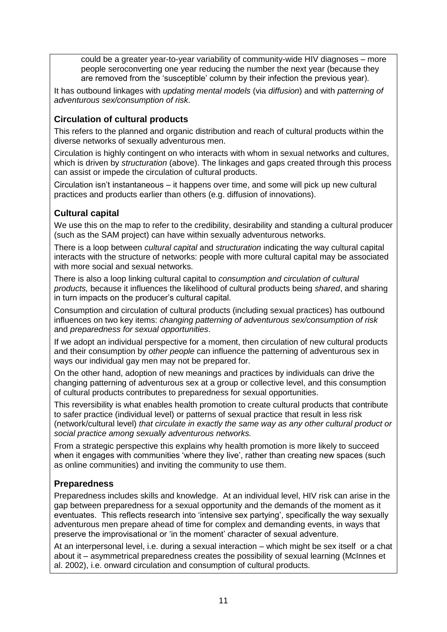could be a greater year-to-year variability of community-wide HIV diagnoses – more people seroconverting one year reducing the number the next year (because they are removed from the 'susceptible' column by their infection the previous year).

It has outbound linkages with *updating mental models* (via *diffusion*) and with *patterning of adventurous sex/consumption of risk*.

#### **Circulation of cultural products**

This refers to the planned and organic distribution and reach of cultural products within the diverse networks of sexually adventurous men.

Circulation is highly contingent on who interacts with whom in sexual networks and cultures, which is driven by *structuration* (above). The linkages and gaps created through this process can assist or impede the circulation of cultural products.

Circulation isn't instantaneous – it happens over time, and some will pick up new cultural practices and products earlier than others (e.g. diffusion of innovations).

### **Cultural capital**

We use this on the map to refer to the credibility, desirability and standing a cultural producer (such as the SAM project) can have within sexually adventurous networks.

There is a loop between *cultural capital* and *structuration* indicating the way cultural capital interacts with the structure of networks: people with more cultural capital may be associated with more social and sexual networks.

There is also a loop linking cultural capital to *consumption and circulation of cultural products,* because it influences the likelihood of cultural products being *shared*, and sharing in turn impacts on the producer's cultural capital.

Consumption and circulation of cultural products (including sexual practices) has outbound influences on two key items: *changing patterning of adventurous sex/consumption of risk* and *preparedness for sexual opportunities*.

If we adopt an individual perspective for a moment, then circulation of new cultural products and their consumption by *other people* can influence the patterning of adventurous sex in ways our individual gay men may not be prepared for.

On the other hand, adoption of new meanings and practices by individuals can drive the changing patterning of adventurous sex at a group or collective level, and this consumption of cultural products contributes to preparedness for sexual opportunities.

This reversibility is what enables health promotion to create cultural products that contribute to safer practice (individual level) or patterns of sexual practice that result in less risk (network/cultural level) *that circulate in exactly the same way as any other cultural product or social practice among sexually adventurous networks.*

From a strategic perspective this explains why health promotion is more likely to succeed when it engages with communities 'where they live', rather than creating new spaces (such as online communities) and inviting the community to use them.

### **Preparedness**

Preparedness includes skills and knowledge. At an individual level, HIV risk can arise in the gap between preparedness for a sexual opportunity and the demands of the moment as it eventuates. This reflects research into 'intensive sex partying', specifically the way sexually adventurous men prepare ahead of time for complex and demanding events, in ways that preserve the improvisational or 'in the moment' character of sexual adventure.

At an interpersonal level, i.e. during a sexual interaction – which might be sex itself or a chat about it – asymmetrical preparedness creates the possibility of sexual learning (McInnes et al. 2002), i.e. onward circulation and consumption of cultural products.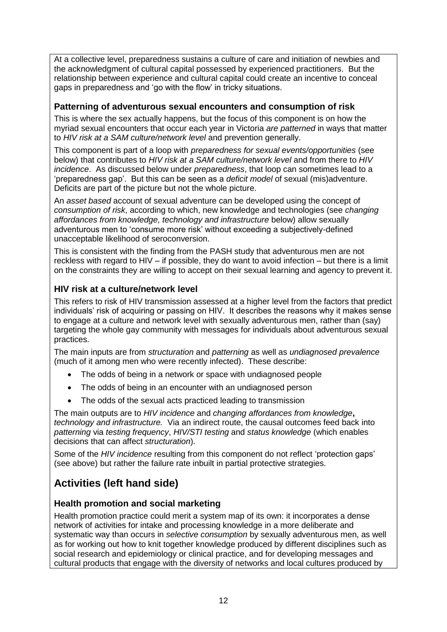At a collective level, preparedness sustains a culture of care and initiation of newbies and the acknowledgment of cultural capital possessed by experienced practitioners. But the relationship between experience and cultural capital could create an incentive to conceal gaps in preparedness and 'go with the flow' in tricky situations.

#### **Patterning of adventurous sexual encounters and consumption of risk**

This is where the sex actually happens, but the focus of this component is on how the myriad sexual encounters that occur each year in Victoria *are patterned* in ways that matter to *HIV risk at a SAM culture/network level* and prevention generally.

This component is part of a loop with *preparedness for sexual events/opportunities* (see below) that contributes to *HIV risk at a SAM culture/network level* and from there to *HIV incidence*. As discussed below under *preparedness*, that loop can sometimes lead to a 'preparedness gap'. But this can be seen as a *deficit model* of sexual (mis)adventure. Deficits are part of the picture but not the whole picture.

An *asset based* account of sexual adventure can be developed using the concept of *consumption of risk*, according to which, new knowledge and technologies (see *changing affordances from knowledge, technology and infrastructure* below) allow sexually adventurous men to 'consume more risk' without exceeding a subjectively-defined unacceptable likelihood of seroconversion.

This is consistent with the finding from the PASH study that adventurous men are not reckless with regard to HIV – if possible, they do want to avoid infection – but there is a limit on the constraints they are willing to accept on their sexual learning and agency to prevent it.

### **HIV risk at a culture/network level**

This refers to risk of HIV transmission assessed at a higher level from the factors that predict individuals' risk of acquiring or passing on HIV. It describes the reasons why it makes sense to engage at a culture and network level with sexually adventurous men, rather than (say) targeting the whole gay community with messages for individuals about adventurous sexual practices.

The main inputs are from *structuration* and *patterning* as well as *undiagnosed prevalence* (much of it among men who were recently infected). These describe:

- The odds of being in a network or space with undiagnosed people
- The odds of being in an encounter with an undiagnosed person
- The odds of the sexual acts practiced leading to transmission

The main outputs are to *HIV incidence* and *changing affordances from knowledge***,**  *technology and infrastructure.* Via an indirect route, the causal outcomes feed back into *patterning* via *testing frequency*, *HIV/STI testing* and *status knowledge* (which enables decisions that can affect *structuration*).

Some of the *HIV incidence* resulting from this component do not reflect 'protection gaps' (see above) but rather the failure rate inbuilt in partial protective strategies.

# <span id="page-11-0"></span>**Activities (left hand side)**

### **Health promotion and social marketing**

Health promotion practice could merit a system map of its own: it incorporates a dense network of activities for intake and processing knowledge in a more deliberate and systematic way than occurs in *selective consumption* by sexually adventurous men, as well as for working out how to knit together knowledge produced by different disciplines such as social research and epidemiology or clinical practice, and for developing messages and cultural products that engage with the diversity of networks and local cultures produced by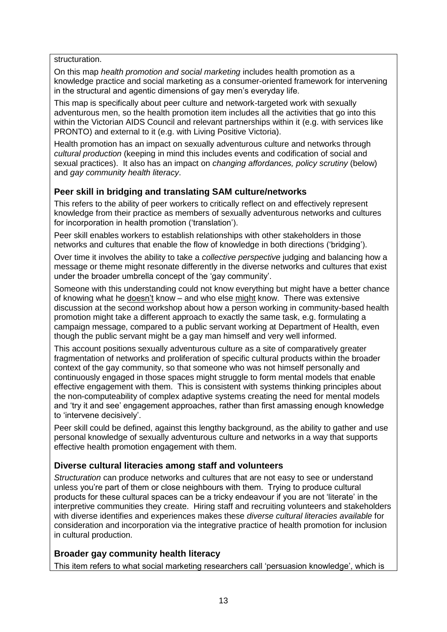structuration.

On this map *health promotion and social marketing* includes health promotion as a knowledge practice and social marketing as a consumer-oriented framework for intervening in the structural and agentic dimensions of gay men's everyday life.

This map is specifically about peer culture and network-targeted work with sexually adventurous men, so the health promotion item includes all the activities that go into this within the Victorian AIDS Council and relevant partnerships within it (e.g. with services like PRONTO) and external to it (e.g. with Living Positive Victoria).

Health promotion has an impact on sexually adventurous culture and networks through *cultural production* (keeping in mind this includes events and codification of social and sexual practices). It also has an impact on *changing affordances, policy scrutiny* (below) and *gay community health literacy*.

#### **Peer skill in bridging and translating SAM culture/networks**

This refers to the ability of peer workers to critically reflect on and effectively represent knowledge from their practice as members of sexually adventurous networks and cultures for incorporation in health promotion ('translation').

Peer skill enables workers to establish relationships with other stakeholders in those networks and cultures that enable the flow of knowledge in both directions ('bridging').

Over time it involves the ability to take a *collective perspective* judging and balancing how a message or theme might resonate differently in the diverse networks and cultures that exist under the broader umbrella concept of the 'gay community'.

Someone with this understanding could not know everything but might have a better chance of knowing what he doesn't know – and who else might know. There was extensive discussion at the second workshop about how a person working in community-based health promotion might take a different approach to exactly the same task, e.g. formulating a campaign message, compared to a public servant working at Department of Health, even though the public servant might be a gay man himself and very well informed.

This account positions sexually adventurous culture as a site of comparatively greater fragmentation of networks and proliferation of specific cultural products within the broader context of the gay community, so that someone who was not himself personally and continuously engaged in those spaces might struggle to form mental models that enable effective engagement with them. This is consistent with systems thinking principles about the non-computeability of complex adaptive systems creating the need for mental models and 'try it and see' engagement approaches, rather than first amassing enough knowledge to 'intervene decisively'.

Peer skill could be defined, against this lengthy background, as the ability to gather and use personal knowledge of sexually adventurous culture and networks in a way that supports effective health promotion engagement with them.

#### **Diverse cultural literacies among staff and volunteers**

*Structuration* can produce networks and cultures that are not easy to see or understand unless you're part of them or close neighbours with them. Trying to produce cultural products for these cultural spaces can be a tricky endeavour if you are not 'literate' in the interpretive communities they create. Hiring staff and recruiting volunteers and stakeholders with diverse identifies and experiences makes these *diverse cultural literacies available* for consideration and incorporation via the integrative practice of health promotion for inclusion in cultural production.

#### **Broader gay community health literacy**

This item refers to what social marketing researchers call 'persuasion knowledge', which is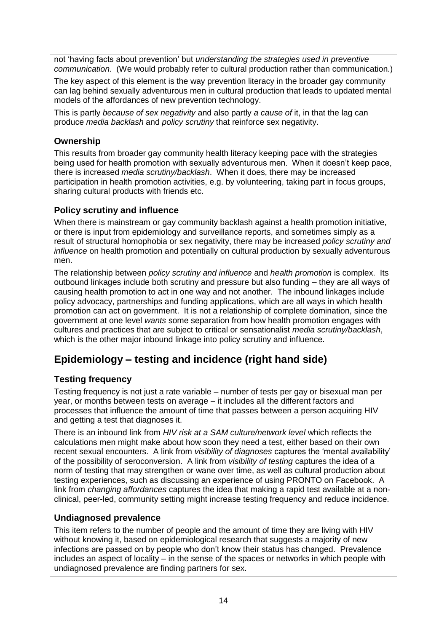not 'having facts about prevention' but *understanding the strategies used in preventive communication*. (We would probably refer to cultural production rather than communication.)

The key aspect of this element is the way prevention literacy in the broader gay community can lag behind sexually adventurous men in cultural production that leads to updated mental models of the affordances of new prevention technology.

This is partly *because of sex negativity* and also partly *a cause of* it, in that the lag can produce *media backlash* and *policy scrutiny* that reinforce sex negativity.

## **Ownership**

This results from broader gay community health literacy keeping pace with the strategies being used for health promotion with sexually adventurous men. When it doesn't keep pace, there is increased *media scrutiny/backlash*. When it does, there may be increased participation in health promotion activities, e.g. by volunteering, taking part in focus groups, sharing cultural products with friends etc.

### **Policy scrutiny and influence**

When there is mainstream or gay community backlash against a health promotion initiative, or there is input from epidemiology and surveillance reports, and sometimes simply as a result of structural homophobia or sex negativity, there may be increased *policy scrutiny and influence* on health promotion and potentially on cultural production by sexually adventurous men.

The relationship between *policy scrutiny and influence* and *health promotion* is complex. Its outbound linkages include both scrutiny and pressure but also funding – they are all ways of causing health promotion to act in one way and not another. The inbound linkages include policy advocacy, partnerships and funding applications, which are all ways in which health promotion can act on government. It is not a relationship of complete domination, since the government at one level *wants* some separation from how health promotion engages with cultures and practices that are subject to critical or sensationalist *media scrutiny/backlash*, which is the other major inbound linkage into policy scrutiny and influence.

# <span id="page-13-0"></span>**Epidemiology – testing and incidence (right hand side)**

## **Testing frequency**

Testing frequency is not just a rate variable – number of tests per gay or bisexual man per year, or months between tests on average – it includes all the different factors and processes that influence the amount of time that passes between a person acquiring HIV and getting a test that diagnoses it.

There is an inbound link from *HIV risk at a SAM culture/network level* which reflects the calculations men might make about how soon they need a test, either based on their own recent sexual encounters. A link from *visibility of diagnoses* captures the 'mental availability' of the possibility of seroconversion. A link from *visibility of testing* captures the idea of a norm of testing that may strengthen or wane over time, as well as cultural production about testing experiences, such as discussing an experience of using PRONTO on Facebook. A link from *changing affordances* captures the idea that making a rapid test available at a nonclinical, peer-led, community setting might increase testing frequency and reduce incidence.

### **Undiagnosed prevalence**

This item refers to the number of people and the amount of time they are living with HIV without knowing it, based on epidemiological research that suggests a majority of new infections are passed on by people who don't know their status has changed. Prevalence includes an aspect of locality – in the sense of the spaces or networks in which people with undiagnosed prevalence are finding partners for sex.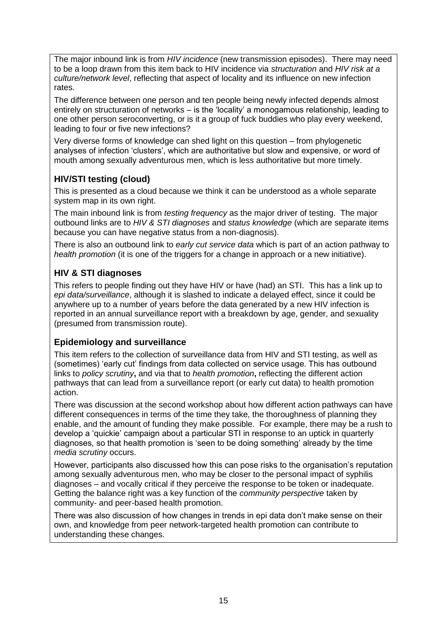The major inbound link is from *HIV incidence* (new transmission episodes). There may need to be a loop drawn from this item back to HIV incidence via *structuration* and *HIV risk at a culture/network level*, reflecting that aspect of locality and its influence on new infection rates.

The difference between one person and ten people being newly infected depends almost entirely on structuration of networks – is the 'locality' a monogamous relationship, leading to one other person seroconverting, or is it a group of fuck buddies who play every weekend, leading to four or five new infections?

Very diverse forms of knowledge can shed light on this question – from phylogenetic analyses of infection 'clusters', which are authoritative but slow and expensive, or word of mouth among sexually adventurous men, which is less authoritative but more timely.

## **HIV/STI testing (cloud)**

This is presented as a cloud because we think it can be understood as a whole separate system map in its own right.

The main inbound link is from *testing frequency* as the major driver of testing. The major outbound links are to *HIV & STI diagnoses* and *status knowledge* (which are separate items because you can have negative status from a non-diagnosis).

There is also an outbound link to *early cut service data* which is part of an action pathway to *health promotion* (it is one of the triggers for a change in approach or a new initiative).

### **HIV & STI diagnoses**

This refers to people finding out they have HIV or have (had) an STI. This has a link up to *epi data/surveillance*, although it is slashed to indicate a delayed effect, since it could be anywhere up to a number of years before the data generated by a new HIV infection is reported in an annual surveillance report with a breakdown by age, gender, and sexuality (presumed from transmission route).

#### **Epidemiology and surveillance**

This item refers to the collection of surveillance data from HIV and STI testing, as well as (sometimes) 'early cut' findings from data collected on service usage. This has outbound links to *policy scrutiny***,** and via that to *health promotion***,** reflecting the different action pathways that can lead from a surveillance report (or early cut data) to health promotion action.

There was discussion at the second workshop about how different action pathways can have different consequences in terms of the time they take, the thoroughness of planning they enable, and the amount of funding they make possible. For example, there may be a rush to develop a 'quickie' campaign about a particular STI in response to an uptick in quarterly diagnoses, so that health promotion is 'seen to be doing something' already by the time *media scrutiny* occurs.

However, participants also discussed how this can pose risks to the organisation's reputation among sexually adventurous men, who may be closer to the personal impact of syphilis diagnoses – and vocally critical if they perceive the response to be token or inadequate. Getting the balance right was a key function of the *community perspective* taken by community- and peer-based health promotion.

There was also discussion of how changes in trends in epi data don't make sense on their own, and knowledge from peer network-targeted health promotion can contribute to understanding these changes.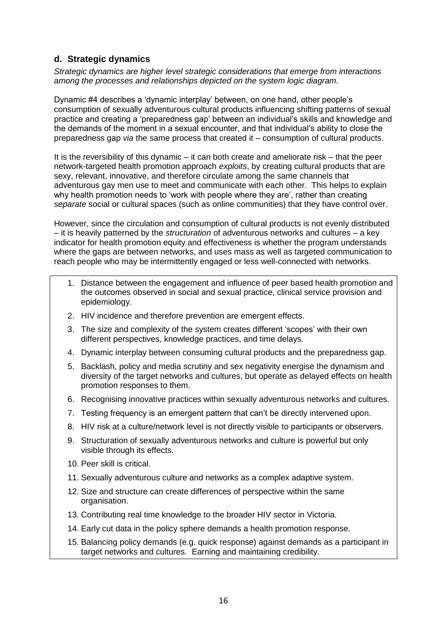#### **d. Strategic dynamics**

*Strategic dynamics are higher level strategic considerations that emerge from interactions among the processes and relationships depicted on the system logic diagram.* 

Dynamic #4 describes a 'dynamic interplay' between, on one hand, other people's consumption of sexually adventurous cultural products influencing shifting patterns of sexual practice and creating a 'preparedness gap' between an individual's skills and knowledge and the demands of the moment in a sexual encounter, and that individual's ability to close the preparedness gap *via* the same process that created it – consumption of cultural products.

It is the reversibility of this dynamic – it can both create and ameliorate risk – that the peer network-targeted health promotion approach *exploits*, by creating cultural products that are sexy, relevant, innovative, and therefore circulate among the same channels that adventurous gay men use to meet and communicate with each other. This helps to explain why health promotion needs to 'work with people where they are', rather than creating *separate* social or cultural spaces (such as online communities) that they have control over.

However, since the circulation and consumption of cultural products is not evenly distributed – it is heavily patterned by the *structuration* of adventurous networks and cultures – a key indicator for health promotion equity and effectiveness is whether the program understands where the gaps are between networks, and uses mass as well as targeted communication to reach people who may be intermittently engaged or less well-connected with networks.

- 1. Distance between the engagement and influence of peer based health promotion and the outcomes observed in social and sexual practice, clinical service provision and epidemiology.
- 2. HIV incidence and therefore prevention are emergent effects.
- 3. The size and complexity of the system creates different 'scopes' with their own different perspectives, knowledge practices, and time delays.
- 4. Dynamic interplay between consuming cultural products and the preparedness gap.
- 5. Backlash, policy and media scrutiny and sex negativity energise the dynamism and diversity of the target networks and cultures, but operate as delayed effects on health promotion responses to them.
- 6. Recognising innovative practices within sexually adventurous networks and cultures.
- 7. Testing frequency is an emergent pattern that can't be directly intervened upon.
- 8. HIV risk at a culture/network level is not directly visible to participants or observers.
- 9. Structuration of sexually adventurous networks and culture is powerful but only visible through its effects.
- 10. Peer skill is critical.
- 11. Sexually adventurous culture and networks as a complex adaptive system.
- 12. Size and structure can create differences of perspective within the same organisation.
- 13. Contributing real time knowledge to the broader HIV sector in Victoria.
- 14. Early cut data in the policy sphere demands a health promotion response.
- 15. Balancing policy demands (e.g. quick response) against demands as a participant in target networks and cultures. Earning and maintaining credibility.